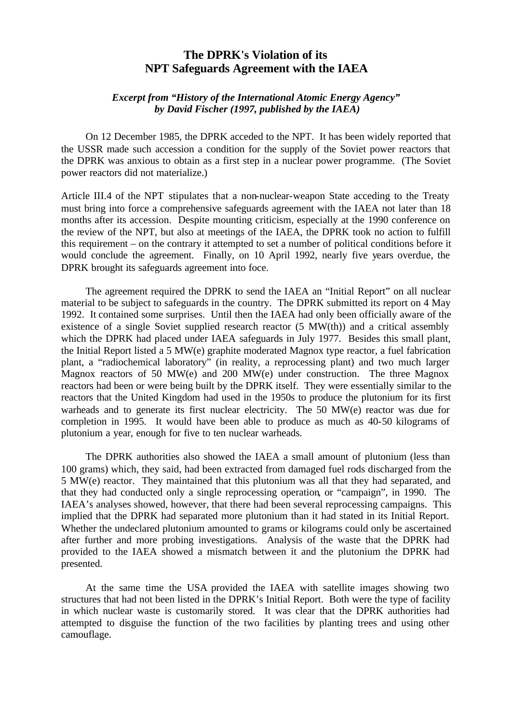## **The DPRK's Violation of its NPT Safeguards Agreement with the IAEA**

## *Excerpt from "History of the International Atomic Energy Agency" by David Fischer (1997, published by the IAEA)*

On 12 December 1985, the DPRK acceded to the NPT. It has been widely reported that the USSR made such accession a condition for the supply of the Soviet power reactors that the DPRK was anxious to obtain as a first step in a nuclear power programme. (The Soviet power reactors did not materialize.)

Article III.4 of the NPT stipulates that a non-nuclear-weapon State acceding to the Treaty must bring into force a comprehensive safeguards agreement with the IAEA not later than 18 months after its accession. Despite mounting criticism, especially at the 1990 conference on the review of the NPT, but also at meetings of the IAEA, the DPRK took no action to fulfill this requirement – on the contrary it attempted to set a number of political conditions before it would conclude the agreement. Finally, on 10 April 1992, nearly five years overdue, the DPRK brought its safeguards agreement into foce.

The agreement required the DPRK to send the IAEA an "Initial Report" on all nuclear material to be subject to safeguards in the country. The DPRK submitted its report on 4 May 1992. It contained some surprises. Until then the IAEA had only been officially aware of the existence of a single Soviet supplied research reactor (5 MW(th)) and a critical assembly which the DPRK had placed under IAEA safeguards in July 1977. Besides this small plant, the Initial Report listed a 5 MW(e) graphite moderated Magnox type reactor, a fuel fabrication plant, a "radiochemical laboratory" (in reality, a reprocessing plant) and two much larger Magnox reactors of 50 MW(e) and 200 MW(e) under construction. The three Magnox reactors had been or were being built by the DPRK itself. They were essentially similar to the reactors that the United Kingdom had used in the 1950s to produce the plutonium for its first warheads and to generate its first nuclear electricity. The 50 MW(e) reactor was due for completion in 1995. It would have been able to produce as much as 40-50 kilograms of plutonium a year, enough for five to ten nuclear warheads.

The DPRK authorities also showed the IAEA a small amount of plutonium (less than 100 grams) which, they said, had been extracted from damaged fuel rods discharged from the 5 MW(e) reactor. They maintained that this plutonium was all that they had separated, and that they had conducted only a single reprocessing operation, or "campaign", in 1990. The IAEA's analyses showed, however, that there had been several reprocessing campaigns. This implied that the DPRK had separated more plutonium than it had stated in its Initial Report. Whether the undeclared plutonium amounted to grams or kilograms could only be ascertained after further and more probing investigations. Analysis of the waste that the DPRK had provided to the IAEA showed a mismatch between it and the plutonium the DPRK had presented.

At the same time the USA provided the IAEA with satellite images showing two structures that had not been listed in the DPRK's Initial Report. Both were the type of facility in which nuclear waste is customarily stored. It was clear that the DPRK authorities had attempted to disguise the function of the two facilities by planting trees and using other camouflage.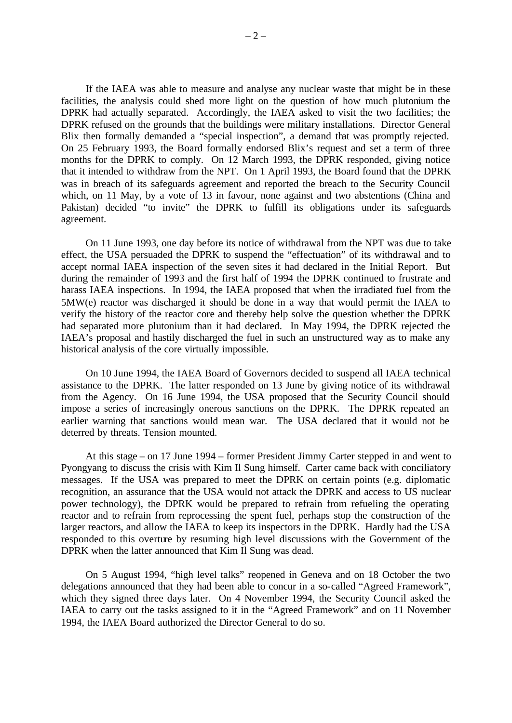If the IAEA was able to measure and analyse any nuclear waste that might be in these facilities, the analysis could shed more light on the question of how much plutonium the DPRK had actually separated. Accordingly, the IAEA asked to visit the two facilities; the DPRK refused on the grounds that the buildings were military installations. Director General Blix then formally demanded a "special inspection", a demand that was promptly rejected. On 25 February 1993, the Board formally endorsed Blix's request and set a term of three months for the DPRK to comply. On 12 March 1993, the DPRK responded, giving notice that it intended to withdraw from the NPT. On 1 April 1993, the Board found that the DPRK was in breach of its safeguards agreement and reported the breach to the Security Council which, on 11 May, by a vote of 13 in favour, none against and two abstentions (China and Pakistan) decided "to invite" the DPRK to fulfill its obligations under its safeguards agreement.

On 11 June 1993, one day before its notice of withdrawal from the NPT was due to take effect, the USA persuaded the DPRK to suspend the "effectuation" of its withdrawal and to accept normal IAEA inspection of the seven sites it had declared in the Initial Report. But during the remainder of 1993 and the first half of 1994 the DPRK continued to frustrate and harass IAEA inspections. In 1994, the IAEA proposed that when the irradiated fuel from the 5MW(e) reactor was discharged it should be done in a way that would permit the IAEA to verify the history of the reactor core and thereby help solve the question whether the DPRK had separated more plutonium than it had declared. In May 1994, the DPRK rejected the IAEA's proposal and hastily discharged the fuel in such an unstructured way as to make any historical analysis of the core virtually impossible.

On 10 June 1994, the IAEA Board of Governors decided to suspend all IAEA technical assistance to the DPRK. The latter responded on 13 June by giving notice of its withdrawal from the Agency. On 16 June 1994, the USA proposed that the Security Council should impose a series of increasingly onerous sanctions on the DPRK. The DPRK repeated an earlier warning that sanctions would mean war. The USA declared that it would not be deterred by threats. Tension mounted.

At this stage – on 17 June 1994 – former President Jimmy Carter stepped in and went to Pyongyang to discuss the crisis with Kim Il Sung himself. Carter came back with conciliatory messages. If the USA was prepared to meet the DPRK on certain points (e.g. diplomatic recognition, an assurance that the USA would not attack the DPRK and access to US nuclear power technology), the DPRK would be prepared to refrain from refueling the operating reactor and to refrain from reprocessing the spent fuel, perhaps stop the construction of the larger reactors, and allow the IAEA to keep its inspectors in the DPRK. Hardly had the USA responded to this overture by resuming high level discussions with the Government of the DPRK when the latter announced that Kim Il Sung was dead.

On 5 August 1994, "high level talks" reopened in Geneva and on 18 October the two delegations announced that they had been able to concur in a so-called "Agreed Framework", which they signed three days later. On 4 November 1994, the Security Council asked the IAEA to carry out the tasks assigned to it in the "Agreed Framework" and on 11 November 1994, the IAEA Board authorized the Director General to do so.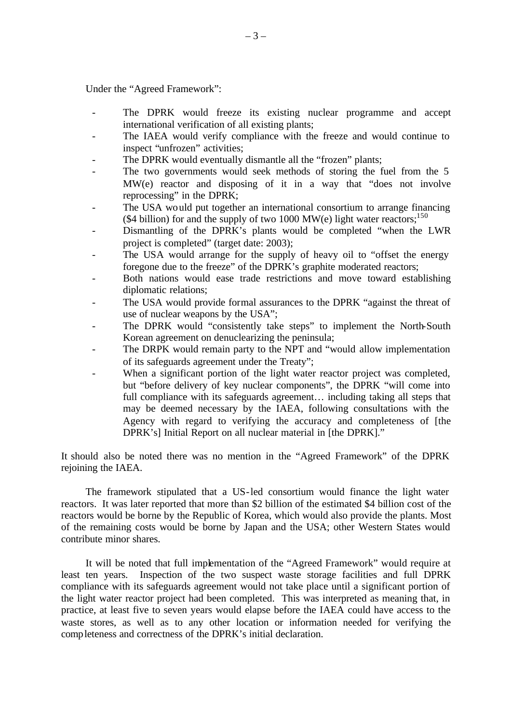Under the "Agreed Framework":

- The DPRK would freeze its existing nuclear programme and accept international verification of all existing plants;
- The IAEA would verify compliance with the freeze and would continue to inspect "unfrozen" activities;
- The DPRK would eventually dismantle all the "frozen" plants;
- The two governments would seek methods of storing the fuel from the 5 MW(e) reactor and disposing of it in a way that "does not involve reprocessing" in the DPRK;
- The USA would put together an international consortium to arrange financing (\$4 billion) for and the supply of two 1000 MW(e) light water reactors;<sup>150</sup>
- Dismantling of the DPRK's plants would be completed "when the LWR project is completed" (target date: 2003);
- The USA would arrange for the supply of heavy oil to "offset the energy foregone due to the freeze" of the DPRK's graphite moderated reactors;
- Both nations would ease trade restrictions and move toward establishing diplomatic relations;
- The USA would provide formal assurances to the DPRK "against the threat of use of nuclear weapons by the USA";
- The DPRK would "consistently take steps" to implement the North-South Korean agreement on denuclearizing the peninsula;
- The DRPK would remain party to the NPT and "would allow implementation of its safeguards agreement under the Treaty";
- When a significant portion of the light water reactor project was completed, but "before delivery of key nuclear components", the DPRK "will come into full compliance with its safeguards agreement… including taking all steps that may be deemed necessary by the IAEA, following consultations with the Agency with regard to verifying the accuracy and completeness of [the DPRK's] Initial Report on all nuclear material in [the DPRK]."

It should also be noted there was no mention in the "Agreed Framework" of the DPRK rejoining the IAEA.

The framework stipulated that a US-led consortium would finance the light water reactors. It was later reported that more than \$2 billion of the estimated \$4 billion cost of the reactors would be borne by the Republic of Korea, which would also provide the plants. Most of the remaining costs would be borne by Japan and the USA; other Western States would contribute minor shares.

It will be noted that full implementation of the "Agreed Framework" would require at least ten years. Inspection of the two suspect waste storage facilities and full DPRK compliance with its safeguards agreement would not take place until a significant portion of the light water reactor project had been completed. This was interpreted as meaning that, in practice, at least five to seven years would elapse before the IAEA could have access to the waste stores, as well as to any other location or information needed for verifying the completeness and correctness of the DPRK's initial declaration.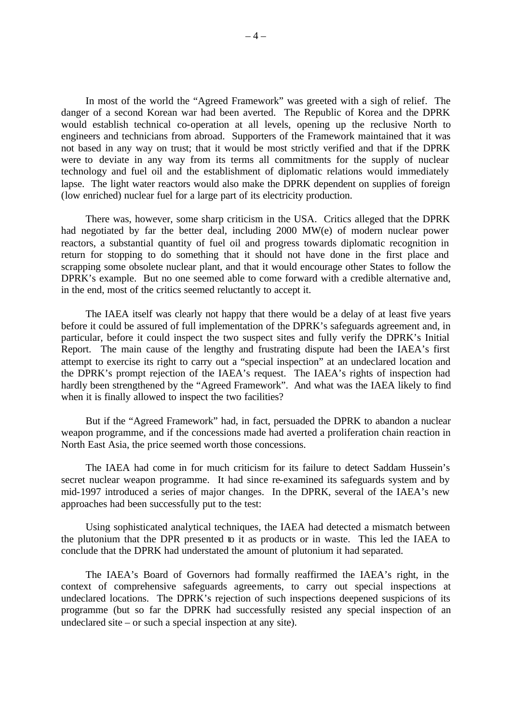In most of the world the "Agreed Framework" was greeted with a sigh of relief. The danger of a second Korean war had been averted. The Republic of Korea and the DPRK would establish technical co-operation at all levels, opening up the reclusive North to engineers and technicians from abroad. Supporters of the Framework maintained that it was not based in any way on trust; that it would be most strictly verified and that if the DPRK were to deviate in any way from its terms all commitments for the supply of nuclear technology and fuel oil and the establishment of diplomatic relations would immediately lapse. The light water reactors would also make the DPRK dependent on supplies of foreign (low enriched) nuclear fuel for a large part of its electricity production.

There was, however, some sharp criticism in the USA. Critics alleged that the DPRK had negotiated by far the better deal, including 2000 MW(e) of modern nuclear power reactors, a substantial quantity of fuel oil and progress towards diplomatic recognition in return for stopping to do something that it should not have done in the first place and scrapping some obsolete nuclear plant, and that it would encourage other States to follow the DPRK's example. But no one seemed able to come forward with a credible alternative and, in the end, most of the critics seemed reluctantly to accept it.

The IAEA itself was clearly not happy that there would be a delay of at least five years before it could be assured of full implementation of the DPRK's safeguards agreement and, in particular, before it could inspect the two suspect sites and fully verify the DPRK's Initial Report. The main cause of the lengthy and frustrating dispute had been the IAEA's first attempt to exercise its right to carry out a "special inspection" at an undeclared location and the DPRK's prompt rejection of the IAEA's request. The IAEA's rights of inspection had hardly been strengthened by the "Agreed Framework". And what was the IAEA likely to find when it is finally allowed to inspect the two facilities?

But if the "Agreed Framework" had, in fact, persuaded the DPRK to abandon a nuclear weapon programme, and if the concessions made had averted a proliferation chain reaction in North East Asia, the price seemed worth those concessions.

The IAEA had come in for much criticism for its failure to detect Saddam Hussein's secret nuclear weapon programme. It had since re-examined its safeguards system and by mid-1997 introduced a series of major changes. In the DPRK, several of the IAEA's new approaches had been successfully put to the test:

Using sophisticated analytical techniques, the IAEA had detected a mismatch between the plutonium that the DPR presented to it as products or in waste. This led the IAEA to conclude that the DPRK had understated the amount of plutonium it had separated.

The IAEA's Board of Governors had formally reaffirmed the IAEA's right, in the context of comprehensive safeguards agreements, to carry out special inspections at undeclared locations. The DPRK's rejection of such inspections deepened suspicions of its programme (but so far the DPRK had successfully resisted any special inspection of an undeclared site – or such a special inspection at any site).